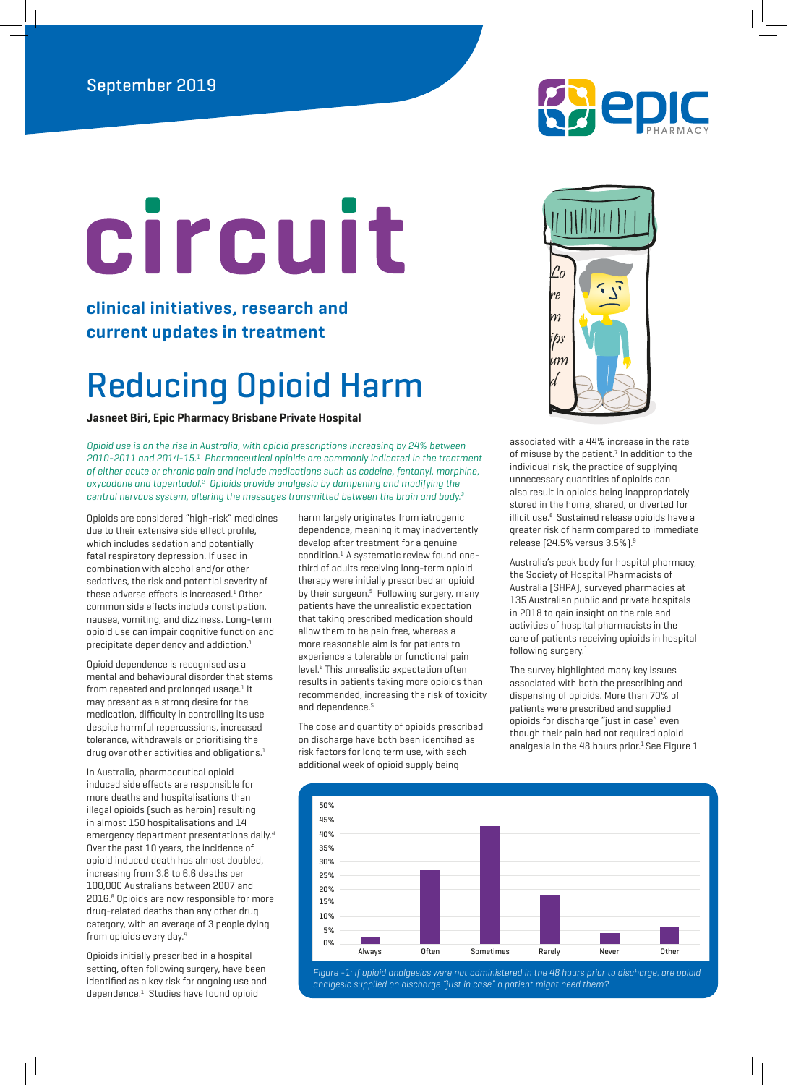# circuit

**clinical initiatives, research and current updates in treatment**

## Reducing Opioid Harm

**Jasneet Biri, Epic Pharmacy Brisbane Private Hospital**

Opioid use is on the rise in Australia, with opioid prescriptions increasing by 24% between 2010-2011 and 2014-15.1 Pharmaceutical opioids are commonly indicated in the treatment of either acute or chronic pain and include medications such as codeine, fentanyl, morphine, oxycodone and tapentadol.<sup>2</sup> Opioids provide analgesia by dampening and modifying the central nervous system, altering the messages transmitted between the brain and body. $3$ 

Opioids are considered "high-risk" medicines due to their extensive side effect profile, which includes sedation and potentially fatal respiratory depression. If used in combination with alcohol and/or other sedatives, the risk and potential severity of these adverse effects is increased.<sup>1</sup> Other common side effects include constipation, nausea, vomiting, and dizziness. Long-term opioid use can impair cognitive function and precipitate dependency and addiction.<sup>1</sup>

Opioid dependence is recognised as a mental and behavioural disorder that stems from repeated and prolonged usage.<sup>1</sup> It may present as a strong desire for the medication, difficulty in controlling its use despite harmful repercussions, increased tolerance, withdrawals or prioritising the drug over other activities and obligations.<sup>1</sup>

In Australia, pharmaceutical opioid induced side effects are responsible for more deaths and hospitalisations than illegal opioids (such as heroin) resulting in almost 150 hospitalisations and 14 emergency department presentations daily.<sup>4</sup> Over the past 10 years, the incidence of opioid induced death has almost doubled, increasing from 3.8 to 6.6 deaths per 100,000 Australians between 2007 and 2016.8 Opioids are now responsible for more drug-related deaths than any other drug category, with an average of 3 people dying from opioids every day.<sup>4</sup>

Opioids initially prescribed in a hospital setting, often following surgery, have been identified as a key risk for ongoing use and dependence.1 Studies have found opioid

harm largely originates from iatrogenic dependence, meaning it may inadvertently develop after treatment for a genuine condition.<sup>1</sup> A systematic review found onethird of adults receiving long-term opioid therapy were initially prescribed an opioid by their surgeon.<sup>5</sup> Following surgery, many patients have the unrealistic expectation that taking prescribed medication should allow them to be pain free, whereas a more reasonable aim is for patients to experience a tolerable or functional pain level.6 This unrealistic expectation often results in patients taking more opioids than recommended, increasing the risk of toxicity and dependence.<sup>5</sup>

The dose and quantity of opioids prescribed on discharge have both been identified as risk factors for long term use, with each additional week of opioid supply being





associated with a 44% increase in the rate of misuse by the patient. $<sup>7</sup>$  In addition to the</sup> individual risk, the practice of supplying unnecessary quantities of opioids can also result in opioids being inappropriately stored in the home, shared, or diverted for illicit use.<sup>8</sup> Sustained release opioids have a greater risk of harm compared to immediate release (24.5% versus 3.5%).9

Australia's peak body for hospital pharmacy, the Society of Hospital Pharmacists of Australia (SHPA), surveyed pharmacies at 135 Australian public and private hospitals in 2018 to gain insight on the role and activities of hospital pharmacists in the care of patients receiving opioids in hospital following surgery.<sup>1</sup>

The survey highlighted many key issues associated with both the prescribing and dispensing of opioids. More than 70% of patients were prescribed and supplied opioids for discharge "just in case" even though their pain had not required opioid analgesia in the 48 hours prior.<sup>1</sup> See Figure  $1$ 



Figure -1: If opioid analgesics were not administered in the 48 hours prior to discharge, are opioid analgesic supplied on discharge "just in case" a patient might need them?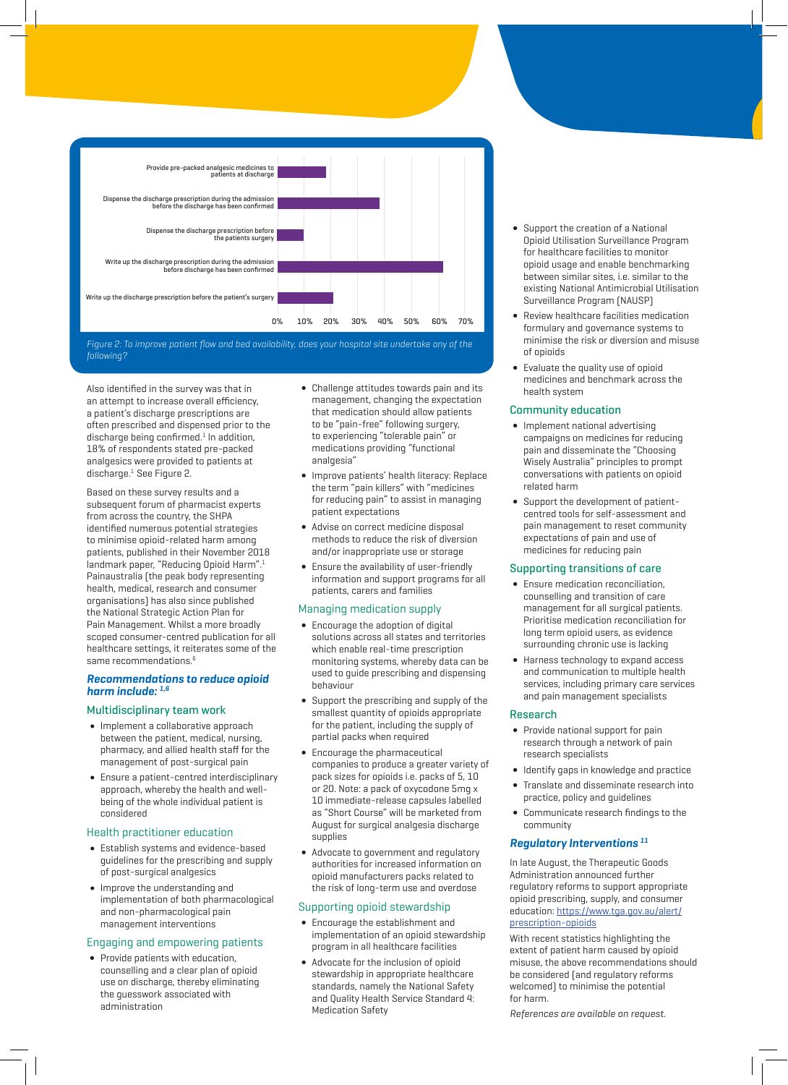

following?

Also identified in the survey was that in an attempt to increase overall efficiency, a patient's discharge prescriptions are often prescribed and dispensed prior to the discharge being confirmed.<sup>1</sup> In addition, 18% of respondents stated pre-packed analgesics were provided to patients at discharge.1 See Figure 2.

Based on these survey results and a subsequent forum of pharmacist experts from across the country, the SHPA identified numerous potential strategies to minimise opioid-related harm among patients, published in their November 2018 landmark paper, ["Reducing Opioid Harm"](https://www.shpa.org.au/sites/default/files/uploaded-content/website-content/shpa_-_reducing_opioid_related_harm.pdf).<sup>1</sup> Painaustralia (the peak body representing health, medical, research and consumer organisations) has also since published the [National Strategic Action Plan for](https://www.painaustralia.org.au/static/uploads/files/national-action-plan-final-02-07-2019-wfpnnlamkiqw.pdf)  [Pain Management.](https://www.painaustralia.org.au/static/uploads/files/national-action-plan-final-02-07-2019-wfpnnlamkiqw.pdf) Whilst a more broadly scoped consumer-centred publication for all healthcare settings, it reiterates some of the same recommendations.<sup>6</sup>

#### **Recommendations to reduce opioid harm include: 1,6**

#### Multidisciplinary team work

- • Implement a collaborative approach between the patient, medical, nursing, pharmacy, and allied health staff for the management of post-surgical pain
- • Ensure a patient-centred interdisciplinary approach, whereby the health and wellbeing of the whole individual patient is considered

#### Health practitioner education

- • Establish systems and evidence-based guidelines for the prescribing and supply of post-surgical analgesics
- • Improve the understanding and implementation of both pharmacological and non-pharmacological pain management interventions

#### Engaging and empowering patients

**∫** Provide patients with education, counselling and a clear plan of opioid use on discharge, thereby eliminating the guesswork associated with administration

- **∫** Challenge attitudes towards pain and its management, changing the expectation that medication should allow patients to be "pain-free" following surgery, to experiencing "tolerable pain" or medications providing "functional analgesia"
- **∫** Improve patients' health literacy: Replace the term "pain killers" with "medicines for reducing pain" to assist in managing patient expectations
- **∫** Advise on correct medicine disposal methods to reduce the risk of diversion and/or inappropriate use or storage
- **∫** Ensure the availability of user-friendly information and support programs for all patients, carers and families

#### Managing medication supply

- **∫** Encourage the adoption of digital solutions across all states and territories which enable real-time prescription monitoring systems, whereby data can be used to guide prescribing and dispensing behaviour
- **∫** Support the prescribing and supply of the smallest quantity of opioids appropriate for the patient, including the supply of partial packs when required
- **∫** Encourage the pharmaceutical companies to produce a greater variety of pack sizes for opioids i.e. packs of 5, 10 or 20. Note: a pack of oxycodone 5mg x 10 immediate-release capsules labelled as "Short Course" will be marketed from August for surgical analgesia discharge supplies
- **∫** Advocate to government and regulatory authorities for increased information on opioid manufacturers packs related to the risk of long-term use and overdose

#### Supporting opioid stewardship

- **∫** Encourage the establishment and implementation of an opioid stewardship program in all healthcare facilities
- **∫** Advocate for the inclusion of opioid stewardship in appropriate healthcare standards, namely the National Safety and Quality Health Service Standard 4: Medication Safety
- **∫** Support the creation of a National Opioid Utilisation Surveillance Program for healthcare facilities to monitor opioid usage and enable benchmarking between similar sites, i.e. similar to the existing National Antimicrobial Utilisation Surveillance Program (NAUSP)
- **∫** Review healthcare facilities medication formulary and governance systems to minimise the risk or diversion and misuse of opioids
- **∫** Evaluate the quality use of opioid medicines and benchmark across the health system

#### Community education

- **∫** Implement national advertising campaigns on medicines for reducing pain and disseminate the "Choosing Wisely Australia" principles to prompt conversations with patients on opioid related harm
- **∫** Support the development of patientcentred tools for self-assessment and pain management to reset community expectations of pain and use of medicines for reducing pain

#### Supporting transitions of care

- **∫** Ensure medication reconciliation, counselling and transition of care management for all surgical patients. Prioritise medication reconciliation for long term opioid users, as evidence surrounding chronic use is lacking
- **∫** Harness technology to expand access and communication to multiple health services, including primary care services and pain management specialists

#### Research

- **∫** Provide national support for pain research through a network of pain research specialists
- **∫** Identify gaps in knowledge and practice
- **∫** Translate and disseminate research into
- practice, policy and guidelines
- **∫** Communicate research findings to the community

#### **Regulatory Interventions 11**

In late August, the Therapeutic Goods Administration announced further regulatory reforms to support appropriate opioid prescribing, supply, and consumer education: [https://www.tga.gov.au/alert/](https://www.tga.gov.au/alert/prescription-opioids) [prescription-opioids](https://www.tga.gov.au/alert/prescription-opioids)

With recent statistics highlighting the extent of patient harm caused by opioid misuse, the above recommendations should be considered (and regulatory reforms welcomed) to minimise the potential for harm.

References are available on request.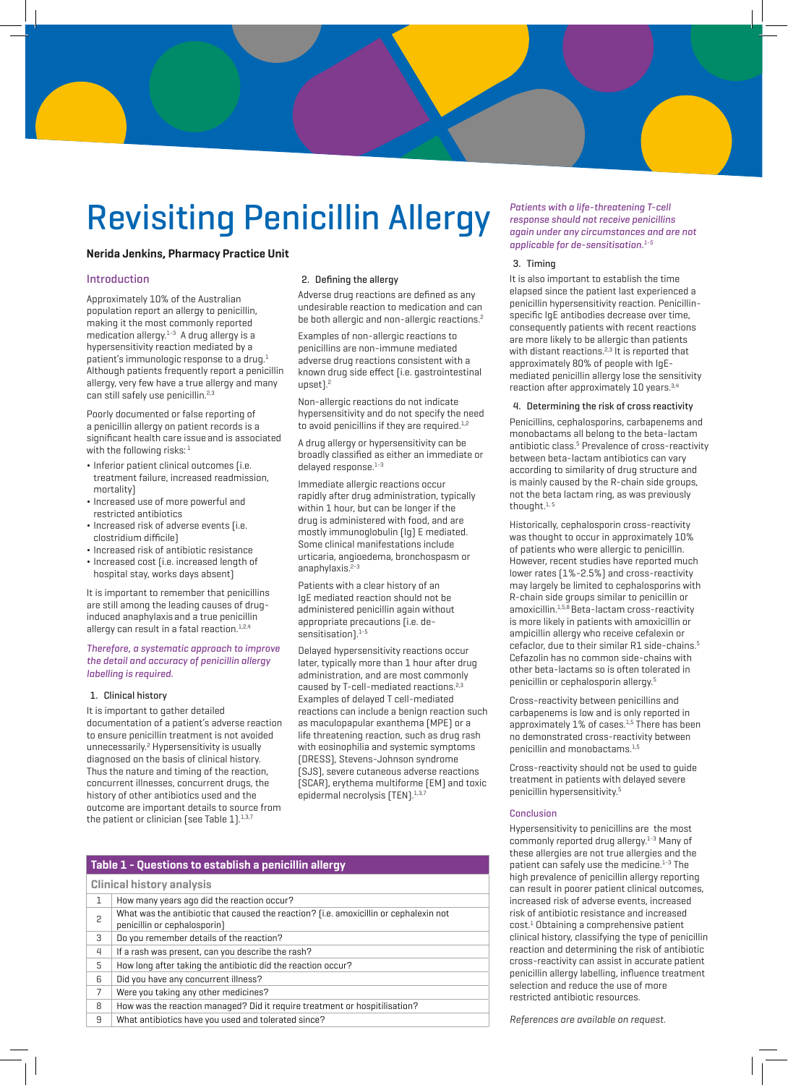## Revisiting Penicillin Allergy

#### **Nerida Jenkins, Pharmacy Practice Unit**

#### Introduction

Approximately 10% of the Australian population report an allergy to penicillin, making it the most commonly reported medication allergy. $1-3$  A drug allergy is a hypersensitivity reaction mediated by a patient's immunologic response to a drug. $1$ Although patients frequently report a penicillin allergy, very few have a true allergy and many can still safely use penicillin.<sup>2,3</sup>

Poorly documented or false reporting of a penicillin allergy on patient records is a significant health care issue and is associated with the following risks: $<sup>1</sup>$ </sup>

- ¬ Inferior patient clinical outcomes (i.e. treatment failure, increased readmission, mortality)
- ¬ Increased use of more powerful and restricted antibiotics
- ¬ Increased risk of adverse events (i.e. clostridium difficile)
- ¬ Increased risk of antibiotic resistance
- ¬ Increased cost (i.e. increased length of hospital stay, works days absent)

It is important to remember that penicillins are still among the leading causes of druginduced anaphylaxis and a true penicillin allergy can result in a fatal reaction.<sup>1,2,4</sup>

#### Therefore, a systematic approach to improve the detail and accuracy of penicillin allergy labelling is required.

#### 1. Clinical history

It is important to gather detailed documentation of a patient's adverse reaction to ensure penicillin treatment is not avoided unnecessarily.<sup>2</sup> Hypersensitivity is usually diagnosed on the basis of clinical history. Thus the nature and timing of the reaction, concurrent illnesses, concurrent drugs, the history of other antibiotics used and the outcome are important details to source from the patient or clinician [see Table  $1$ ].<sup>1,3,7</sup>

#### 2. Defining the allergy

Adverse drug reactions are defined as any undesirable reaction to medication and can be both allergic and non-allergic reactions.<sup>2</sup>

Examples of non-allergic reactions to penicillins are non-immune mediated adverse drug reactions consistent with a known drug side effect (i.e. gastrointestinal upset).<sup>2</sup>

Non-allergic reactions do not indicate hypersensitivity and do not specify the need to avoid penicillins if they are required.<sup>1,2</sup>

A drug allergy or hypersensitivity can be broadly classified as either an immediate or delayed response.<sup>1-3</sup>

Immediate allergic reactions occur rapidly after drug administration, typically within 1 hour, but can be longer if the drug is administered with food, and are mostly immunoglobulin (Ig) E mediated. Some clinical manifestations include urticaria, angioedema, bronchospasm or anaphylaxis.<sup>2-3</sup>

Patients with a clear history of an IgE mediated reaction should not be administered penicillin again without appropriate precautions (i.e. desensitisation). $1-5$ 

Delayed hypersensitivity reactions occur later, typically more than 1 hour after drug administration, and are most commonly caused by T-cell-mediated reactions.<sup>2,3</sup> Examples of delayed T cell-mediated reactions can include a benign reaction such as maculopapular exanthema (MPE) or a life threatening reaction, such as drug rash with eosinophilia and systemic symptoms (DRESS), Stevens-Johnson syndrome (SJS), severe cutaneous adverse reactions (SCAR), erythema multiforme (EM) and toxic epidermal necrolysis (TEN).<sup>1,3</sup>

Patients with a life-threatening T-cell response should not receive penicillins again under any circumstances and are not applicable for de-sensitisation.<sup>1-5</sup>

#### 3. Timing

It is also important to establish the time elapsed since the patient last experienced a penicillin hypersensitivity reaction. Penicillinspecific IgE antibodies decrease over time, consequently patients with recent reactions are more likely to be allergic than patients with distant reactions.<sup>2,3</sup> It is reported that approximately 80% of people with IgEmediated penicillin allergy lose the sensitivity reaction after approximately 10 years.3,4

#### 4. Determining the risk of cross reactivity

Penicillins, cephalosporins, carbapenems and monobactams all belong to the beta-lactam antibiotic class.<sup>5</sup> Prevalence of cross-reactivity between beta-lactam antibiotics can vary according to similarity of drug structure and is mainly caused by the R-chain side groups, not the beta lactam ring, as was previously thought. $1, 5$ 

Historically, cephalosporin cross-reactivity was thought to occur in approximately 10% of patients who were allergic to penicillin. However, recent studies have reported much lower rates (1%-2.5%) and cross-reactivity may largely be limited to cephalosporins with R-chain side groups similar to penicillin or amoxicillin.1,5,8 Beta-lactam cross-reactivity is more likely in patients with amoxicillin or ampicillin allergy who receive cefalexin or cefaclor, due to their similar R1 side-chains.<sup>5</sup> Cefazolin has no common side-chains with other beta-lactams so is often tolerated in penicillin or cephalosporin allergy.5

Cross-reactivity between penicillins and carbapenems is low and is only reported in approximately 1% of cases.<sup>1,5</sup> There has been no demonstrated cross-reactivity between penicillin and monobactams.<sup>1,5</sup>

Cross-reactivity should not be used to guide treatment in patients with delayed severe penicillin hypersensitivity.5

#### Conclusion

Hypersensitivity to penicillins are the most commonly reported drug allergy.<sup>1-3</sup> Many of these allergies are not true allergies and the patient can safely use the medicine.<sup>1-3</sup> The high prevalence of penicillin allergy reporting can result in poorer patient clinical outcomes, increased risk of adverse events, increased risk of antibiotic resistance and increased cost.<sup>1</sup> Obtaining a comprehensive patient clinical history, classifying the type of penicillin reaction and determining the risk of antibiotic cross-reactivity can assist in accurate patient penicillin allergy labelling, influence treatment selection and reduce the use of more restricted antibiotic resources.

References are available on request.

#### **Table 1 - Questions to establish a penicillin allergy**

|  | <b>Clinical history analysis</b> |                                                                                                                       |  |
|--|----------------------------------|-----------------------------------------------------------------------------------------------------------------------|--|
|  | $\mathbf{1}$                     | How many years ago did the reaction occur?                                                                            |  |
|  | 2                                | What was the antibiotic that caused the reaction? [i.e. amoxicillin or cephalexin not<br>penicillin or cephalosporin] |  |
|  | 3                                | Do you remember details of the reaction?                                                                              |  |
|  | 4                                | If a rash was present, can you describe the rash?                                                                     |  |
|  | 5                                | How long after taking the antibiotic did the reaction occur?                                                          |  |
|  | 6                                | Did you have any concurrent illness?                                                                                  |  |
|  | 7                                | Were you taking any other medicines?                                                                                  |  |
|  | 8                                | How was the reaction managed? Did it require treatment or hospitilisation?                                            |  |
|  | 9                                | What antibiotics have you used and tolerated since?                                                                   |  |